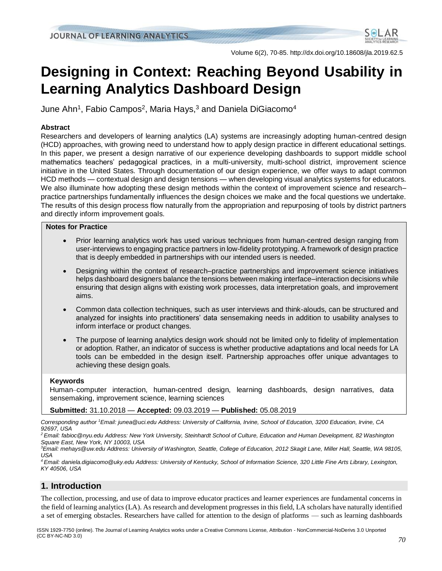

Volume 6(2), 70-85. http://dx.doi.org/10.18608/jla.2019.62.5

# **Designing in Context: Reaching Beyond Usability in Learning Analytics Dashboard Design**

June Ahn<sup>1</sup>, Fabio Campos<sup>2</sup>, Maria Hays,<sup>3</sup> and Daniela DiGiacomo<sup>4</sup>

## **Abstract**

Researchers and developers of learning analytics (LA) systems are increasingly adopting human-centred design (HCD) approaches, with growing need to understand how to apply design practice in different educational settings. In this paper, we present a design narrative of our experience developing dashboards to support middle school mathematics teachers' pedagogical practices, in a multi-university, multi-school district, improvement science initiative in the United States. Through documentation of our design experience, we offer ways to adapt common HCD methods — contextual design and design tensions — when developing visual analytics systems for educators. We also illuminate how adopting these design methods within the context of improvement science and research– practice partnerships fundamentally influences the design choices we make and the focal questions we undertake. The results of this design process flow naturally from the appropriation and repurposing of tools by district partners and directly inform improvement goals.

#### **Notes for Practice**

- Prior learning analytics work has used various techniques from human-centred design ranging from user-interviews to engaging practice partners in low-fidelity prototyping. A framework of design practice that is deeply embedded in partnerships with our intended users is needed.
- Designing within the context of research–practice partnerships and improvement science initiatives helps dashboard designers balance the tensions between making interface–interaction decisions while ensuring that design aligns with existing work processes, data interpretation goals, and improvement aims.
- Common data collection techniques, such as user interviews and think-alouds, can be structured and analyzed for insights into practitioners' data sensemaking needs in addition to usability analyses to inform interface or product changes.
- The purpose of learning analytics design work should not be limited only to fidelity of implementation or adoption. Rather, an indicator of success is whether productive adaptations and local needs for LA tools can be embedded in the design itself. Partnership approaches offer unique advantages to achieving these design goals.

#### **Keywords**

Human–computer interaction, human-centred design, learning dashboards, design narratives, data sensemaking, improvement science, learning sciences

#### **Submitted:** 31.10.2018 — **Accepted:** 09.03.2019 — **Published:** 05.08.2019

*Corresponding author <sup>1</sup>Email: junea@uci.edu Address: University of California, Irvine, School of Education, 3200 Education, Irvine, CA 92697, USA*

*<sup>2</sup> Email: fabioc@nyu.edu Address: New York University, Steinhardt School of Culture, Education and Human Development, 82 Washington Square East, New York, NY 10003, USA*

*<sup>3</sup>Email: mehays@uw.edu Address: University of Washington, Seattle, College of Education, 2012 Skagit Lane, Miller Hall, Seattle, WA 98105, USA*

*<sup>4</sup>Email: daniela.digiacomo@uky.edu Address: University of Kentucky, School of Information Science, 320 Little Fine Arts Library, Lexington, KY 40506, USA*

# **1. Introduction**

The collection, processing, and use of data to improve educator practices and learner experiences are fundamental concerns in the field of learning analytics (LA). As research and development progresses in this field, LA scholars have naturally identified a set of emerging obstacles. Researchers have called for attention to the design of platforms — such as learning dashboards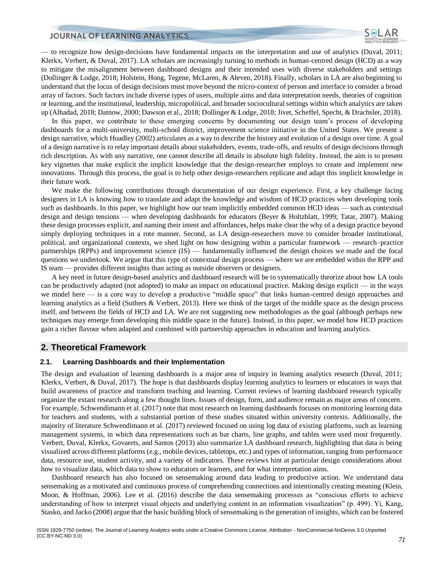— to recognize how design-decisions have fundamental impacts on the interpretation and use of analytics (Duval, 2011; Klerkx, Verbert, & Duval, 2017). LA scholars are increasingly turning to methods in human-centred design (HCD) as a way to mitigate the misalignment between dashboard designs and their intended uses with diverse stakeholders and settings (Dollinger & Lodge, 2018; Holstein, Hong, Tegene, McLaren, & Aleven, 2018). Finally, scholars in LA are also beginning to understand that the locus of design decisions must move beyond the micro-context of person and interface to consider a broad array of factors. Such factors include diverse types of users, multiple aims and data interpretation needs, theories of cognition or learning, and the institutional, leadership, micropolitical, and broader sociocultural settings within which analytics are taken up (Alhadad, 2018; Datnow, 2000; Dawson et al., 2018; Dollinger & Lodge, 2018; Jivet, Scheffel, Specht, & Drachsler, 2018).

In this paper, we contribute to these emerging concerns by documenting our design team's process of developing dashboards for a multi-university, multi-school district, improvement science initiative in the United States. We present a design narrative, which Hoadley (2002) articulates as a way to describe the history and evolution of a design over time. A goal of a design narrative is to relay important details about stakeholders, events, trade-offs, and results of design decisions through rich description. As with any narrative, one cannot describe all details in absolute high fidelity. Instead, the aim is to present key vignettes that make explicit the implicit knowledge that the design-researcher employs to create and implement new innovations. Through this process, the goal is to help other design-researchers replicate and adapt this implicit knowledge in their future work.

We make the following contributions through documentation of our design experience. First, a key challenge facing designers in LA is knowing how to translate and adapt the knowledge and wisdom of HCD practices when developing tools such as dashboards. In this paper, we highlight how our team implicitly embedded common HCD ideas — such as contextual design and design tensions — when developing dashboards for educators (Beyer & Holtzblatt, 1999; Tatar, 2007). Making these design processes explicit, and naming their intent and affordances, helps make clear the why of a design practice beyond simply deploying techniques in a rote manner. Second, as LA design-researchers move to consider broader institutional, political, and organizational contexts, we shed light on how designing within a particular framework — research–practice partnerships (RPPs) and improvement science (IS) — fundamentally influenced the design choices we made and the focal questions we undertook. We argue that this type of contextual design process — where we are embedded within the RPP and IS team — provides different insights than acting as outside observers or designers.

A key need in future design-based analytics and dashboard research will be to systematically theorize about how LA tools can be productively adapted (not adopted) to make an impact on educational practice. Making design explicit — in the ways we model here — is a core way to develop a productive "middle space" that links human-centred design approaches and learning analytics as a field (Suthers & Verbert, 2013). Here we think of the target of the middle space as the design process itself, and between the fields of HCD and LA. We are not suggesting new methodologies as the goal (although perhaps new techniques may emerge from developing this middle space in the future). Instead, in this paper, we model how HCD practices gain a richer flavour when adapted and combined with partnership approaches in education and learning analytics.

## **2. Theoretical Framework**

#### **2.1. Learning Dashboards and their Implementation**

The design and evaluation of learning dashboards is a major area of inquiry in learning analytics research (Duval, 2011; Klerkx, Verbert, & Duval, 2017). The hope is that dashboards display learning analytics to learners or educators in ways that build awareness of practice and transform teaching and learning. Current reviews of learning dashboard research typically organize the extant research along a few thought lines. Issues of design, form, and audience remain as major areas of concern. For example, Schwendimann et al. (2017) note that most research on learning dashboards focuses on monitoring learning data for teachers and students, with a substantial portion of these studies situated within university contexts. Additionally, the majority of literature Schwendimann et al. (2017) reviewed focused on using log data of existing platforms, such as learning management systems, in which data representations such as bar charts, line graphs, and tables were used most frequently. Verbert, Duval, Klerkx, Govaerts, and Santos (2013) also summarize LA dashboard research, highlighting that data is being visualized across different platforms (e.g., mobile devices, tabletops, etc.) and types of information, ranging from performance data, resource use, student activity, and a variety of indicators. These reviews hint at particular design considerations about how to visualize data, which data to show to educators or learners, and for what interpretation aims.

Dashboard research has also focused on sensemaking around data leading to productive action. We understand data sensemaking as a motivated and continuous process of comprehending connections and intentionally creating meaning (Klein, Moon, & Hoffman, 2006). Lee et al. (2016) describe the data sensemaking processes as "conscious efforts to achieve understanding of how to interpret visual objects and underlying content in an information visualization" (p. 499). Yi, Kang, Stasko, and Jacko (2008) argue that the basic building block of sensemaking is the generation of insights, which can be fostered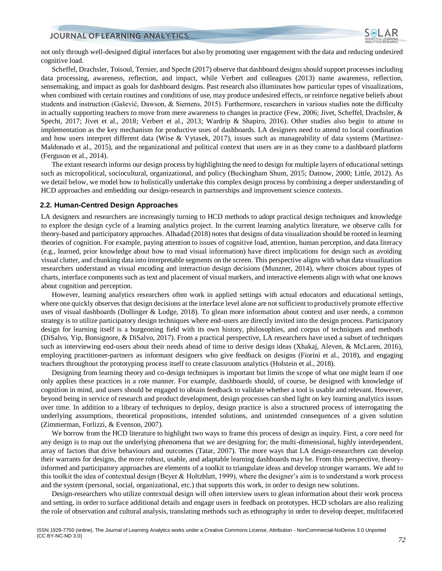

not only through well-designed digital interfaces but also by promoting user engagement with the data and reducing undesired cognitive load.

Scheffel, Drachsler, Toisoul, Ternier, and Specht (2017) observe that dashboard designs should support processes including data processing, awareness, reflection, and impact, while Verbert and colleagues (2013) name awareness, reflection, sensemaking, and impact as goals for dashboard designs. Past research also illuminates how particular types of visualizations, when combined with certain routines and conditions of use, may produce undesired effects, or reinforce negative beliefs about students and instruction (Gašević, Dawson, & Siemens, 2015). Furthermore, researchers in various studies note the difficulty in actually supporting teachers to move from mere awareness to changes in practice (Few, 2006; Jivet, Scheffel, Drachsler, & Specht, 2017; Jivet et al., 2018; Verbert et al., 2013; Wardrip & Shapiro, 2016). Other studies also begin to attune to implementation as the key mechanism for productive uses of dashboards. LA designers need to attend to local coordination and how users interpret different data (Wise & Vytasek, 2017), issues such as manageability of data systems (Martinez-Maldonado et al., 2015), and the organizational and political context that users are in as they come to a dashboard platform (Ferguson et al., 2014).

The extant research informs our design process by highlighting the need to design for multiple layers of educational settings such as micropolitical, sociocultural, organizational, and policy (Buckingham Shum, 2015; Datnow, 2000; Little, 2012). As we detail below, we model how to holistically undertake this complex design process by combining a deeper understanding of HCD approaches and embedding our design-research in partnerships and improvement science contexts.

#### **2.2. Human-Centred Design Approaches**

LA designers and researchers are increasingly turning to HCD methods to adopt practical design techniques and knowledge to explore the design cycle of a learning analytics project. In the current learning analytics literature, we observe calls for theory-based and participatory approaches. Alhadad (2018) notes that designs of data visualization should be rooted in learning theories of cognition. For example, paying attention to issues of cognitive load, attention, human perception, and data literacy (e.g., learned, prior knowledge about how to read visual information) have direct implications for design such as avoiding visual clutter, and chunking data into interpretable segments on the screen. This perspective aligns with what data visualization researchers understand as visual encoding and interaction design decisions (Munzner, 2014), where choices about types of charts, interface components such as text and placement of visual markers, and interactive elements align with what one knows about cognition and perception.

However, learning analytics researchers often work in applied settings with actual educators and educational settings, where one quickly observes that design decisions at the interface level alone are not sufficient to productively promote effective uses of visual dashboards (Dollinger & Lodge, 2018). To glean more information about context and user needs, a common strategy is to utilize participatory design techniques where end-users are directly invited into the design process. Participatory design for learning itself is a burgeoning field with its own history, philosophies, and corpus of techniques and methods (DiSalvo, Yip, Bonsignore, & DiSalvo, 2017). From a practical perspective, LA researchers have used a subset of techniques such as interviewing end-users about their needs ahead of time to derive design ideas (Xhakaj, Aleven, & McLaren, 2016), employing practitioner-partners as informant designers who give feedback on designs (Fiorini et al., 2018), and engaging teachers throughout the prototyping process itself to create classroom analytics (Holstein et al., 2018).

Designing from learning theory and co-design techniques is important but limits the scope of what one might learn if one only applies these practices in a rote manner. For example, dashboards should, of course, be designed with knowledge of cognition in mind, and users should be engaged to obtain feedback to validate whether a tool is usable and relevant. However, beyond being in service of research and product development, design processes can shed light on key learning analytics issues over time. In addition to a library of techniques to deploy, design practice is also a structured process of interrogating the underlying assumptions, theoretical propositions, intended solutions, and unintended consequences of a given solution (Zimmerman, Forlizzi, & Evenson, 2007).

We borrow from the HCD literature to highlight two ways to frame this process of design as inquiry. First, a core need for any design is to map out the underlying phenomena that we are designing for; the multi-dimensional, highly interdependent, array of factors that drive behaviours and outcomes (Tatar, 2007). The more ways that LA design-researchers can develop their warrants for designs, the more robust, usable, and adaptable learning dashboards may be. From this perspective, theoryinformed and participatory approaches are elements of a toolkit to triangulate ideas and develop stronger warrants. We add to this toolkit the idea of contextual design (Beyer & Holtzblatt, 1999), where the designer's aim is to understand a work process and the system (personal, social, organizational, etc.) that supports this work, in order to design new solutions.

Design-researchers who utilize contextual design will often interview users to glean information about their work process and setting, in order to surface additional details and engage users in feedback on prototypes. HCD scholars are also realizing the role of observation and cultural analysis, translating methods such as ethnography in order to develop deeper, multifaceted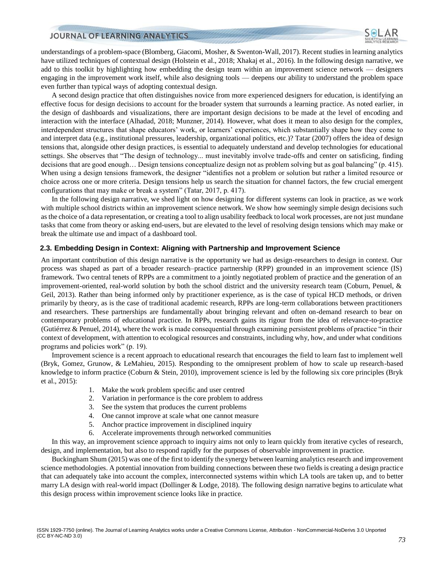

understandings of a problem-space (Blomberg, Giacomi, Mosher, & Swenton-Wall, 2017). Recent studies in learning analytics have utilized techniques of contextual design (Holstein et al., 2018; Xhakaj et al., 2016). In the following design narrative, we add to this toolkit by highlighting how embedding the design team within an improvement science network — designers engaging in the improvement work itself, while also designing tools — deepens our ability to understand the problem space even further than typical ways of adopting contextual design.

A second design practice that often distinguishes novice from more experienced designers for education, is identifying an effective focus for design decisions to account for the broader system that surrounds a learning practice. As noted earlier, in the design of dashboards and visualizations, there are important design decisions to be made at the level of encoding and interaction with the interface (Alhadad, 2018; Munzner, 2014). However, what does it mean to also design for the complex, interdependent structures that shape educators' work, or learners' experiences, which substantially shape how they come to and interpret data (e.g., institutional pressures, leadership, organizational politics, etc.)? Tatar (2007) offers the idea of design tensions that, alongside other design practices, is essential to adequately understand and develop technologies for educational settings. She observes that "The design of technology... must inevitably involve trade-offs and center on satisficing, finding decisions that are good enough… Design tensions conceptualize design not as problem solving but as goal balancing" (p. 415). When using a design tensions framework, the designer "identifies not a problem or solution but rather a limited resource or choice across one or more criteria. Design tensions help us search the situation for channel factors, the few crucial emergent configurations that may make or break a system" (Tatar, 2017, p. 417).

In the following design narrative, we shed light on how designing for different systems can look in practice, as we work with multiple school districts within an improvement science network. We show how seemingly simple design decisions such as the choice of a data representation, or creating a tool to align usability feedback to local work processes, are not just mundane tasks that come from theory or asking end-users, but are elevated to the level of resolving design tensions which may make or break the ultimate use and impact of a dashboard tool.

#### **2.3. Embedding Design in Context: Aligning with Partnership and Improvement Science**

An important contribution of this design narrative is the opportunity we had as design-researchers to design in context. Our process was shaped as part of a broader research–practice partnership (RPP) grounded in an improvement science (IS) framework. Two central tenets of RPPs are a commitment to a jointly negotiated problem of practice and the generation of an improvement-oriented, real-world solution by both the school district and the university research team (Coburn, Penuel, & Geil, 2013). Rather than being informed only by practitioner experience, as is the case of typical HCD methods, or driven primarily by theory, as is the case of traditional academic research, RPPs are long-term collaborations between practitioners and researchers. These partnerships are fundamentally about bringing relevant and often on-demand research to bear on contemporary problems of educational practice. In RPPs, research gains its rigour from the idea of relevance-to-practice (Gutiérrez & Penuel, 2014), where the work is made consequential through examining persistent problems of practice "in their context of development, with attention to ecological resources and constraints, including why, how, and under what conditions programs and policies work" (p. 19).

Improvement science is a recent approach to educational research that encourages the field to learn fast to implement well (Bryk, Gomez, Grunow, & LeMahieu, 2015). Responding to the omnipresent problem of how to scale up research-based knowledge to inform practice (Coburn & Stein, 2010), improvement science is led by the following six core principles (Bryk et al., 2015):

- 1. Make the work problem specific and user centred
- 2. Variation in performance is the core problem to address
- 3. See the system that produces the current problems
- 4. One cannot improve at scale what one cannot measure
- 5. Anchor practice improvement in disciplined inquiry
- 6. Accelerate improvements through networked communities

In this way, an improvement science approach to inquiry aims not only to learn quickly from iterative cycles of research, design, and implementation, but also to respond rapidly for the purposes of observable improvement in practice.

Buckingham Shum (2015) was one of the first to identify the synergy between learning analytics research and improvement science methodologies. A potential innovation from building connections between these two fields is creating a design practice that can adequately take into account the complex, interconnected systems within which LA tools are taken up, and to better marry LA design with real-world impact (Dollinger & Lodge, 2018). The following design narrative begins to articulate what this design process within improvement science looks like in practice.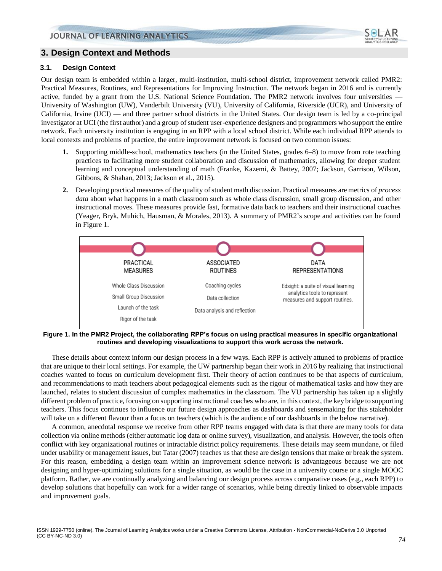

# **3. Design Context and Methods**

#### **3.1. Design Context**

Our design team is embedded within a larger, multi-institution, multi-school district, improvement network called PMR2: Practical Measures, Routines, and Representations for Improving Instruction. The network began in 2016 and is currently active, funded by a grant from the U.S. National Science Foundation. The PMR2 network involves four universities — University of Washington (UW), Vanderbilt University (VU), University of California, Riverside (UCR), and University of California, Irvine (UCI) — and three partner school districts in the United States. Our design team is led by a co-principal investigator at UCI (the first author) and a group of student user-experience designers and programmers who support the entire network. Each university institution is engaging in an RPP with a local school district. While each individual RPP attends to local contexts and problems of practice, the entire improvement network is focused on two common issues:

- **1.** Supporting middle-school, mathematics teachers (in the United States, grades 6–8) to move from rote teaching practices to facilitating more student collaboration and discussion of mathematics, allowing for deeper student learning and conceptual understanding of math (Franke, Kazemi, & Battey, 2007; Jackson, Garrison, Wilson, Gibbons, & Shahan, 2013; Jackson et al., 2015).
- **2.** Developing practical measures of the quality of student math discussion. Practical measures are metrics of *process data* about what happens in a math classroom such as whole class discussion, small group discussion, and other instructional moves. These measures provide fast, formative data back to teachers and their instructional coaches (Yeager, Bryk, Muhich, Hausman, & Morales, 2013). A summary of PMR2's scope and activities can be found in Figure 1.



**Figure 1. In the PMR2 Project, the collaborating RPP's focus on using practical measures in specific organizational routines and developing visualizations to support this work across the network.**

These details about context inform our design process in a few ways. Each RPP is actively attuned to problems of practice that are unique to their local settings. For example, the UW partnership began their work in 2016 by realizing that instructional coaches wanted to focus on curriculum development first. Their theory of action continues to be that aspects of curriculum, and recommendations to math teachers about pedagogical elements such as the rigour of mathematical tasks and how they are launched, relates to student discussion of complex mathematics in the classroom. The VU partnership has taken up a slightly different problem of practice, focusing on supporting instructional coaches who are, in this context, the key bridge to supporting teachers. This focus continues to influence our future design approaches as dashboards and sensemaking for this stakeholder will take on a different flavour than a focus on teachers (which is the audience of our dashboards in the below narrative).

A common, anecdotal response we receive from other RPP teams engaged with data is that there are many tools for data collection via online methods (either automatic log data or online survey), visualization, and analysis. However, the tools often conflict with key organizational routines or intractable district policy requirements. These details may seem mundane, or filed under usability or management issues, but Tatar (2007) teaches us that these are design tensions that make or break the system. For this reason, embedding a design team within an improvement science network is advantageous because we are not designing and hyper-optimizing solutions for a single situation, as would be the case in a university course or a single MOOC platform. Rather, we are continually analyzing and balancing our design process across comparative cases (e.g., each RPP) to develop solutions that hopefully can work for a wider range of scenarios, while being directly linked to observable impacts and improvement goals.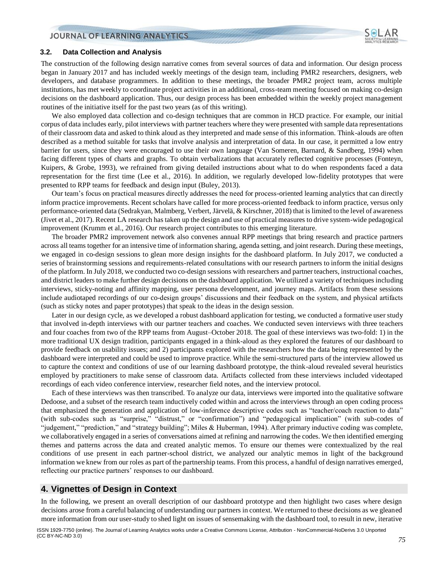

#### **3.2. Data Collection and Analysis**

The construction of the following design narrative comes from several sources of data and information. Our design process began in January 2017 and has included weekly meetings of the design team, including PMR2 researchers, designers, web developers, and database programmers. In addition to these meetings, the broader PMR2 project team, across multiple institutions, has met weekly to coordinate project activities in an additional, cross-team meeting focused on making co-design decisions on the dashboard application. Thus, our design process has been embedded within the weekly project management routines of the initiative itself for the past two years (as of this writing).

We also employed data collection and co-design techniques that are common in HCD practice. For example, our initial corpus of data includes early, pilot interviews with partner teachers where they were presented with sample data representations of their classroom data and asked to think aloud as they interpreted and made sense of this information. Think-alouds are often described as a method suitable for tasks that involve analysis and interpretation of data. In our case, it permitted a low entry barrier for users, since they were encouraged to use their own language (Van Someren, Barnard, & Sandberg, 1994) when facing different types of charts and graphs. To obtain verbalizations that accurately reflected cognitive processes (Fonteyn, Kuipers, & Grobe, 1993), we refrained from giving detailed instructions about what to do when respondents faced a data representation for the first time (Lee et al., 2016). In addition, we regularly developed low-fidelity prototypes that were presented to RPP teams for feedback and design input (Buley, 2013).

Our team's focus on practical measures directly addresses the need for process-oriented learning analytics that can directly inform practice improvements. Recent scholars have called for more process-oriented feedback to inform practice, versus only performance-oriented data (Sedrakyan, Malmberg, Verbert, Järvelä, & Kirschner, 2018) that is limited to the level of awareness (Jivet et al., 2017). Recent LA research has taken up the design and use of practical measures to drive system-wide pedagogical improvement (Krumm et al., 2016). Our research project contributes to this emerging literature.

The broader PMR2 improvement network also convenes annual RPP meetings that bring research and practice partners across all teams together for an intensive time of information sharing, agenda setting, and joint research. During these meetings, we engaged in co-design sessions to glean more design insights for the dashboard platform. In July 2017, we conducted a series of brainstorming sessions and requirements-related consultations with our research partners to inform the initial designs of the platform. In July 2018, we conducted two co-design sessions with researchers and partner teachers, instructional coaches, and district leaders to make further design decisions on the dashboard application. We utilized a variety of techniques including interviews, sticky-noting and affinity mapping, user persona development, and journey maps. Artifacts from these sessions include audiotaped recordings of our co-design groups' discussions and their feedback on the system, and physical artifacts (such as sticky notes and paper prototypes) that speak to the ideas in the design session.

Later in our design cycle, as we developed a robust dashboard application for testing, we conducted a formative user study that involved in-depth interviews with our partner teachers and coaches. We conducted seven interviews with three teachers and four coaches from two of the RPP teams from August–October 2018. The goal of these interviews was two-fold: 1) in the more traditional UX design tradition, participants engaged in a think-aloud as they explored the features of our dashboard to provide feedback on usability issues; and 2) participants explored with the researchers how the data being represented by the dashboard were interpreted and could be used to improve practice. While the semi-structured parts of the interview allowed us to capture the context and conditions of use of our learning dashboard prototype, the think-aloud revealed several heuristics employed by practitioners to make sense of classroom data. Artifacts collected from these interviews included videotaped recordings of each video conference interview, researcher field notes, and the interview protocol.

Each of these interviews was then transcribed. To analyze our data, interviews were imported into the qualitative software Dedoose, and a subset of the research team inductively coded within and across the interviews through an open coding process that emphasized the generation and application of low-inference descriptive codes such as "teacher/coach reaction to data" (with sub-codes such as "surprise," "distrust," or "confirmation") and "pedagogical implication" (with sub-codes of "judgement," "prediction," and "strategy building"; Miles & Huberman, 1994). After primary inductive coding was complete, we collaboratively engaged in a series of conversations aimed at refining and narrowing the codes. We then identified emerging themes and patterns across the data and created analytic memos. To ensure our themes were contextualized by the real conditions of use present in each partner-school district, we analyzed our analytic memos in light of the background information we knew from our roles as part of the partnership teams. From this process, a handful of design narratives emerged, reflecting our practice partners' responses to our dashboard.

## **4. Vignettes of Design in Context**

In the following, we present an overall description of our dashboard prototype and then highlight two cases where design decisions arose from a careful balancing of understanding our partners in context. We returned to these decisions as we gleaned more information from our user-study to shed light on issues of sensemaking with the dashboard tool, to result in new, iterative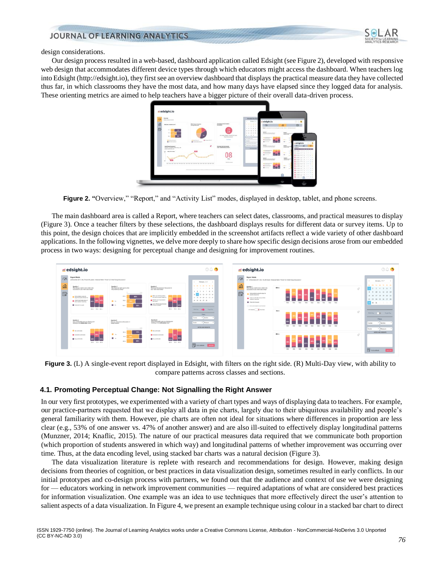

design considerations.

Our design process resulted in a web-based, dashboard application called Edsight (see Figure 2), developed with responsive web design that accommodates different device types through which educators might access the dashboard. When teachers log into Edsight (http://edsight.io), they first see an overview dashboard that displays the practical measure data they have collected thus far, in which classrooms they have the most data, and how many days have elapsed since they logged data for analysis. These orienting metrics are aimed to help teachers have a bigger picture of their overall data-driven process.



**Figure 2. "Overview," "Report," and "Activity List" modes, displayed in desktop, tablet, and phone screens.** 

The main dashboard area is called a Report, where teachers can select dates, classrooms, and practical measures to display (Figure 3). Once a teacher filters by these selections, the dashboard displays results for different data or survey items. Up to this point, the design choices that are implicitly embedded in the screenshot artifacts reflect a wide variety of other dashboard applications. In the following vignettes, we delve more deeply to share how specific design decisions arose from our embedded process in two ways: designing for perceptual change and designing for improvement routines.



**Figure 3.** (L) A single-event report displayed in Edsight, with filters on the right side. (R) Multi-Day view, with ability to compare patterns across classes and sections.

#### **4.1. Promoting Perceptual Change: Not Signalling the Right Answer**

In our very first prototypes, we experimented with a variety of chart types and ways of displaying data to teachers. For example, our practice-partners requested that we display all data in pie charts, largely due to their ubiquitous availability and people's general familiarity with them. However, pie charts are often not ideal for situations where differences in proportion are less clear (e.g., 53% of one answer vs. 47% of another answer) and are also ill-suited to effectively display longitudinal patterns (Munzner, 2014; Knaflic, 2015). The nature of our practical measures data required that we communicate both proportion (which proportion of students answered in which way) and longitudinal patterns of whether improvement was occurring over time. Thus, at the data encoding level, using stacked bar charts was a natural decision (Figure 3).

The data visualization literature is replete with research and recommendations for design. However, making design decisions from theories of cognition, or best practices in data visualization design, sometimes resulted in early conflicts. In our initial prototypes and co-design process with partners, we found out that the audience and context of use we were designing for — educators working in network improvement communities — required adaptations of what are considered best practices for information visualization. One example was an idea to use techniques that more effectively direct the user's attention to salient aspects of a data visualization. In Figure 4, we present an example technique using colour in a stacked bar chart to direct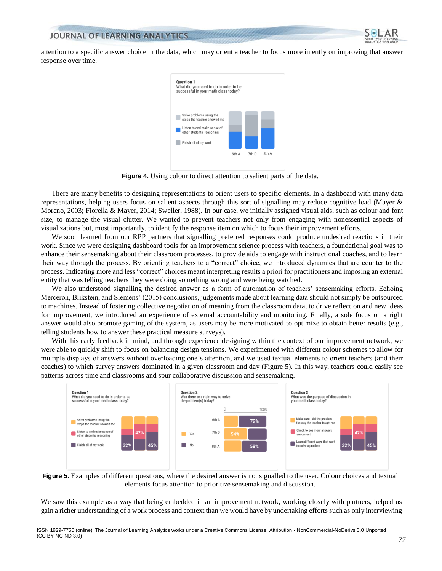

attention to a specific answer choice in the data, which may orient a teacher to focus more intently on improving that answer response over time.



**Figure 4.** Using colour to direct attention to salient parts of the data.

There are many benefits to designing representations to orient users to specific elements. In a dashboard with many data representations, helping users focus on salient aspects through this sort of signalling may reduce cognitive load (Mayer & Moreno, 2003; Fiorella & Mayer, 2014; Sweller, 1988). In our case, we initially assigned visual aids, such as colour and font size, to manage the visual clutter. We wanted to prevent teachers not only from engaging with nonessential aspects of visualizations but, most importantly, to identify the response item on which to focus their improvement efforts.

We soon learned from our RPP partners that signalling preferred responses could produce undesired reactions in their work. Since we were designing dashboard tools for an improvement science process with teachers, a foundational goal was to enhance their sensemaking about their classroom processes, to provide aids to engage with instructional coaches, and to learn their way through the process. By orienting teachers to a "correct" choice, we introduced dynamics that are counter to the process. Indicating more and less "correct" choices meant interpreting results a priori for practitioners and imposing an external entity that was telling teachers they were doing something wrong and were being watched.

We also understood signalling the desired answer as a form of automation of teachers' sensemaking efforts. Echoing Merceron, Blikstein, and Siemens' (2015) conclusions, judgements made about learning data should not simply be outsourced to machines. Instead of fostering collective negotiation of meaning from the classroom data, to drive reflection and new ideas for improvement, we introduced an experience of external accountability and monitoring. Finally, a sole focus on a right answer would also promote gaming of the system, as users may be more motivated to optimize to obtain better results (e.g., telling students how to answer these practical measure surveys).

With this early feedback in mind, and through experience designing within the context of our improvement network, we were able to quickly shift to focus on balancing design tensions. We experimented with different colour schemes to allow for multiple displays of answers without overloading one's attention, and we used textual elements to orient teachers (and their coaches) to which survey answers dominated in a given classroom and day (Figure 5). In this way, teachers could easily see patterns across time and classrooms and spur collaborative discussion and sensemaking.



**Figure 5.** Examples of different questions, where the desired answer is not signalled to the user. Colour choices and textual elements focus attention to prioritize sensemaking and discussion.

We saw this example as a way that being embedded in an improvement network, working closely with partners, helped us gain a richer understanding of a work process and context than we would have by undertaking efforts such as only interviewing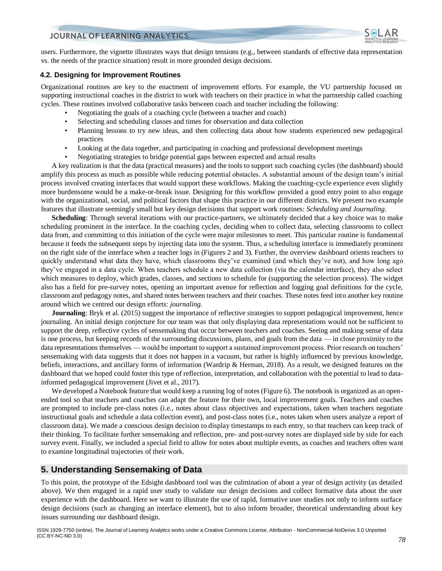

users. Furthermore, the vignette illustrates ways that design tensions (e.g., between standards of effective data representation vs. the needs of the practice situation) result in more grounded design decisions.

#### **4.2. Designing for Improvement Routines**

Organizational routines are key to the enactment of improvement efforts. For example, the VU partnership focused on supporting instructional coaches in the district to work with teachers on their practice in what the partnership called coaching cycles. These routines involved collaborative tasks between coach and teacher including the following:

- Negotiating the goals of a coaching cycle (between a teacher and coach)
- Selecting and scheduling classes and times for observation and data collection
- Planning lessons to try new ideas, and then collecting data about how students experienced new pedagogical practices
- Looking at the data together, and participating in coaching and professional development meetings
- Negotiating strategies to bridge potential gaps between expected and actual results

A key realization is that the data (practical measures) and the tools to support such coaching cycles (the dashboard) should amplify this process as much as possible while reducing potential obstacles. A substantial amount of the design team's initial process involved creating interfaces that would support these workflows. Making the coaching-cycle experience even slightly more burdensome would be a make-or-break issue. Designing for this workflow provided a good entry point to also engage with the organizational, social, and political factors that shape this practice in our different districts. We present two example features that illustrate seemingly small but key design decisions that support work routines: *Scheduling and Journaling.*

**Scheduling**: Through several iterations with our practice-partners, we ultimately decided that a key choice was to make scheduling prominent in the interface. In the coaching cycles, deciding when to collect data, selecting classrooms to collect data from, and committing to this initiation of the cycle were major milestones to meet. This particular routine is fundamental because it feeds the subsequent steps by injecting data into the system. Thus, a scheduling interface is immediately prominent on the right side of the interface when a teacher logs in (Figures 2 and 3). Further, the overview dashboard orients teachers to quickly understand what data they have, which classrooms they've examined (and which they've not), and how long ago they've engaged in a data cycle. When teachers schedule a new data collection (via the calendar interface), they also select which measures to deploy, which grades, classes, and sections to schedule for (supporting the selection process). The widget also has a field for pre-survey notes, opening an important avenue for reflection and logging goal definitions for the cycle, classroom and pedagogy notes, and shared notes between teachers and their coaches. These notes feed into another key routine around which we centred our design efforts: *journaling.*

**Journaling**: Bryk et al. (2015) suggest the importance of reflective strategies to support pedagogical improvement, hence journaling. An initial design conjecture for our team was that only displaying data representations would not be sufficient to support the deep, reflective cycles of sensemaking that occur between teachers and coaches. Seeing and making sense of data is one process, but keeping records of the surrounding discussions, plans, and goals from the data — in close proximity to the data representations themselves — would be important to support a sustained improvement process. Prior research on teachers' sensemaking with data suggests that it does not happen in a vacuum, but rather is highly influenced by previous knowledge, beliefs, interactions, and ancillary forms of information (Wardrip & Herman, 2018). As a result, we designed features on the dashboard that we hoped could foster this type of reflection, interpretation, and collaboration with the potential to lead to datainformed pedagogical improvement (Jivet et al., 2017).

We developed a Notebook feature that would keep a running log of notes (Figure 6). The notebook is organized as an openended tool so that teachers and coaches can adapt the feature for their own, local improvement goals. Teachers and coaches are prompted to include pre-class notes (i.e., notes about class objectives and expectations, taken when teachers negotiate instructional goals and schedule a data collection event), and post-class notes (i.e., notes taken when users analyze a report of classroom data). We made a conscious design decision to display timestamps to each entry, so that teachers can keep track of their thinking. To facilitate further sensemaking and reflection, pre- and post-survey notes are displayed side by side for each survey event. Finally, we included a special field to allow for notes about multiple events, as coaches and teachers often want to examine longitudinal trajectories of their work.

## **5. Understanding Sensemaking of Data**

To this point, the prototype of the Edsight dashboard tool was the culmination of about a year of design activity (as detailed above). We then engaged in a rapid user study to validate our design decisions and collect formative data about the user experience with the dashboard. Here we want to illustrate the use of rapid, formative user studies not only to inform surface design decisions (such as changing an interface element), but to also inform broader, theoretical understanding about key issues surrounding our dashboard design.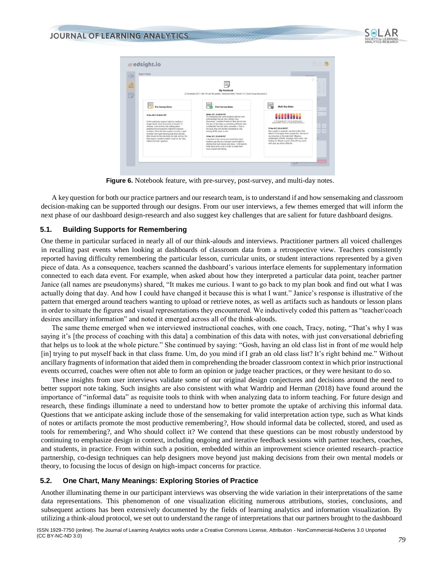



**Figure 6.** Notebook feature, with pre-survey, post-survey, and multi-day notes.

A key question for both our practice partners and our research team, is to understand if and how sensemaking and classroom decision-making can be supported through our designs. From our user interviews, a few themes emerged that will inform the next phase of our dashboard design-research and also suggest key challenges that are salient for future dashboard designs.

#### **5.1. Building Supports for Remembering**

One theme in particular surfaced in nearly all of our think-alouds and interviews. Practitioner partners all voiced challenges in recalling past events when looking at dashboards of classroom data from a retrospective view. Teachers consistently reported having difficulty remembering the particular lesson, curricular units, or student interactions represented by a given piece of data. As a consequence, teachers scanned the dashboard's various interface elements for supplementary information connected to each data event. For example, when asked about how they interpreted a particular data point, teacher partner Janice (all names are pseudonyms) shared, "It makes me curious. I want to go back to my plan book and find out what I was actually doing that day. And how I could have changed it because this is what I want." Janice's response is illustrative of the pattern that emerged around teachers wanting to upload or retrieve notes, as well as artifacts such as handouts or lesson plans in order to situate the figures and visual representations they encountered. We inductively coded this pattern as "teacher/coach desires ancillary information" and noted it emerged across all of the think-alouds.

The same theme emerged when we interviewed instructional coaches, with one coach, Tracy, noting, "That's why I was saying it's [the process of coaching with this data] a combination of this data with notes, with just conversational debriefing that helps us to look at the whole picture." She continued by saying: "Gosh, having an old class list in front of me would help [in] trying to put myself back in that class frame. Um, do you mind if I grab an old class list? It's right behind me." Without ancillary fragments of information that aided them in comprehending the broader classroom context in which prior instructional events occurred, coaches were often not able to form an opinion or judge teacher practices, or they were hesitant to do so.

These insights from user interviews validate some of our original design conjectures and decisions around the need to better support note taking. Such insights are also consistent with what Wardrip and Herman (2018) have found around the importance of "informal data" as requisite tools to think with when analyzing data to inform teaching. For future design and research, these findings illuminate a need to understand how to better promote the uptake of archiving this informal data. Questions that we anticipate asking include those of the sensemaking for valid interpretation action type, such as What kinds of notes or artifacts promote the most productive remembering?, How should informal data be collected, stored, and used as tools for remembering?, and Who should collect it? We contend that these questions can be most robustly understood by continuing to emphasize design in context, including ongoing and iterative feedback sessions with partner teachers, coaches, and students, in practice. From within such a position, embedded within an improvement science oriented research–practice partnership, co-design techniques can help designers move beyond just making decisions from their own mental models or theory, to focusing the locus of design on high-impact concerns for practice.

## **5.2. One Chart, Many Meanings: Exploring Stories of Practice**

Another illuminating theme in our participant interviews was observing the wide variation in their interpretations of the same data representations. This phenomenon of one visualization eliciting numerous attributions, stories, conclusions, and subsequent actions has been extensively documented by the fields of learning analytics and information visualization. By utilizing a think-aloud protocol, we set out to understand the range of interpretations that our partners brought to the dashboard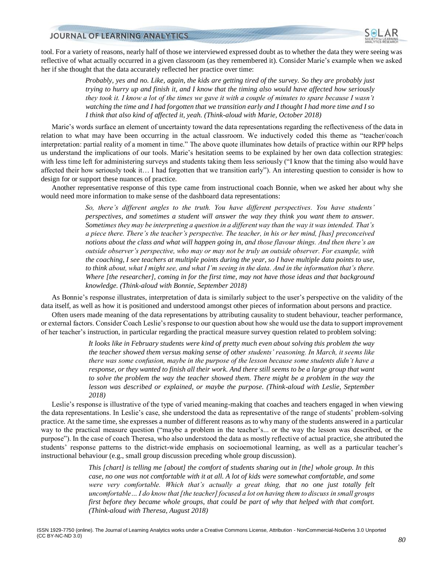

tool. For a variety of reasons, nearly half of those we interviewed expressed doubt as to whether the data they were seeing was reflective of what actually occurred in a given classroom (as they remembered it). Consider Marie's example when we asked her if she thought that the data accurately reflected her practice over time:

> *Probably, yes and no. Like, again, the kids are getting tired of the survey. So they are probably just trying to hurry up and finish it, and I know that the timing also would have affected how seriously they took it. I know a lot of the times we gave it with a couple of minutes to spare because I wasn't watching the time and I had forgotten that we transition early and I thought I had more time and I so I think that also kind of affected it, yeah. (Think-aloud with Marie, October 2018)*

Marie's words surface an element of uncertainty toward the data representations regarding the reflectiveness of the data in relation to what may have been occurring in the actual classroom. We inductively coded this theme as "teacher/coach interpretation: partial reality of a moment in time." The above quote illuminates how details of practice within our RPP helps us understand the implications of our tools. Marie's hesitation seems to be explained by her own data collection strategies: with less time left for administering surveys and students taking them less seriously ("I know that the timing also would have affected their how seriously took it… I had forgotten that we transition early"). An interesting question to consider is how to design for or support these nuances of practice.

Another representative response of this type came from instructional coach Bonnie, when we asked her about why she would need more information to make sense of the dashboard data representations:

> *So, there's different angles to the truth. You have different perspectives. You have students' perspectives, and sometimes a student will answer the way they think you want them to answer. Sometimes they may be interpreting a question in a different way than the way it was intended. That's a piece there. There's the teacher's perspective. The teacher, in his or her mind, [has] preconceived notions about the class and what will happen going in, and those flavour things. And then there's an outside observer's perspective, who may or may not be truly an outside observer. For example, with the coaching, I see teachers at multiple points during the year, so I have multiple data points to use, to think about, what I might see, and what I'm seeing in the data. And in the information that's there. Where [the researcher], coming in for the first time, may not have those ideas and that background knowledge. (Think-aloud with Bonnie, September 2018)*

As Bonnie's response illustrates, interpretation of data is similarly subject to the user's perspective on the validity of the data itself, as well as how it is positioned and understood amongst other pieces of information about persons and practice.

Often users made meaning of the data representations by attributing causality to student behaviour, teacher performance, or external factors. Consider Coach Leslie's response to our question about how she would use the data to support improvement of her teacher's instruction, in particular regarding the practical measure survey question related to problem solving:

> *It looks like in February students were kind of pretty much even about solving this problem the way the teacher showed them versus making sense of other students' reasoning. In March, it seems like there was some confusion, maybe in the purpose of the lesson because some students didn't have a response, or they wanted to finish all their work. And there still seems to be a large group that want to solve the problem the way the teacher showed them. There might be a problem in the way the lesson was described or explained, or maybe the purpose. (Think-aloud with Leslie, September 2018)*

Leslie's response is illustrative of the type of varied meaning-making that coaches and teachers engaged in when viewing the data representations. In Leslie's case, she understood the data as representative of the range of students' problem-solving practice. At the same time, she expresses a number of different reasons as to why many of the students answered in a particular way to the practical measure question ("maybe a problem in the teacher's... or the way the lesson was described, or the purpose"). In the case of coach Theresa, who also understood the data as mostly reflective of actual practice, she attributed the students' response patterns to the district-wide emphasis on socioemotional learning, as well as a particular teacher's instructional behaviour (e.g., small group discussion preceding whole group discussion).

> *This [chart] is telling me [about] the comfort of students sharing out in [the] whole group. In this case, no one was not comfortable with it at all. A lot of kids were somewhat comfortable, and some were very comfortable. Which that's actually a great thing, that no one just totally felt uncomfortable… I do know that [the teacher] focused a lot on having them to discuss in small groups first before they became whole groups, that could be part of why that helped with that comfort. (Think-aloud with Theresa, August 2018)*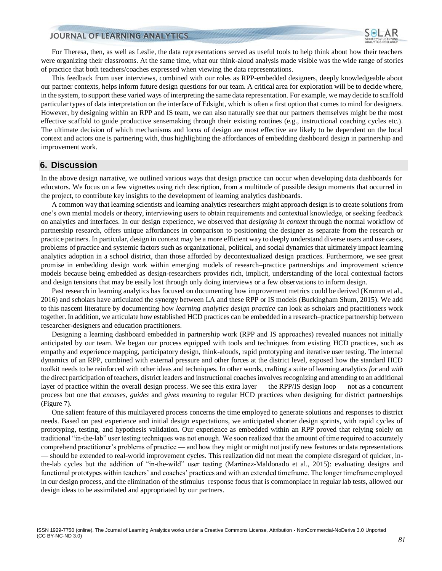

For Theresa, then, as well as Leslie, the data representations served as useful tools to help think about how their teachers were organizing their classrooms. At the same time, what our think-aloud analysis made visible was the wide range of stories of practice that both teachers/coaches expressed when viewing the data representations.

This feedback from user interviews, combined with our roles as RPP-embedded designers, deeply knowledgeable about our partner contexts, helps inform future design questions for our team. A critical area for exploration will be to decide where, in the system, to support these varied ways of interpreting the same data representation. For example, we may decide to scaffold particular types of data interpretation on the interface of Edsight, which is often a first option that comes to mind for designers. However, by designing within an RPP and IS team, we can also naturally see that our partners themselves might be the most effective scaffold to guide productive sensemaking through their existing routines (e.g., instructional coaching cycles etc.). The ultimate decision of which mechanisms and locus of design are most effective are likely to be dependent on the local context and actors one is partnering with, thus highlighting the affordances of embedding dashboard design in partnership and improvement work.

#### **6. Discussion**

In the above design narrative, we outlined various ways that design practice can occur when developing data dashboards for educators. We focus on a few vignettes using rich description, from a multitude of possible design moments that occurred in the project, to contribute key insights to the development of learning analytics dashboards.

A common way that learning scientists and learning analytics researchers might approach design is to create solutions from one's own mental models or theory, interviewing users to obtain requirements and contextual knowledge, or seeking feedback on analytics and interfaces. In our design experience, we observed that *designing in context* through the normal workflow of partnership research, offers unique affordances in comparison to positioning the designer as separate from the research or practice partners. In particular, design in context may be a more efficient way to deeply understand diverse users and use cases, problems of practice and systemic factors such as organizational, political, and social dynamics that ultimately impact learning analytics adoption in a school district, than those afforded by decontextualized design practices. Furthermore, we see great promise in embedding design work within emerging models of research–practice partnerships and improvement science models because being embedded as design-researchers provides rich, implicit, understanding of the local contextual factors and design tensions that may be easily lost through only doing interviews or a few observations to inform design.

Past research in learning analytics has focused on documenting how improvement metrics could be derived (Krumm et al., 2016) and scholars have articulated the synergy between LA and these RPP or IS models (Buckingham Shum, 2015). We add to this nascent literature by documenting how *learning analytics design practice* can look as scholars and practitioners work together. In addition, we articulate how established HCD practices can be embedded in a research–practice partnership between researcher-designers and education practitioners.

Designing a learning dashboard embedded in partnership work (RPP and IS approaches) revealed nuances not initially anticipated by our team. We began our process equipped with tools and techniques from existing HCD practices, such as empathy and experience mapping, participatory design, think-alouds, rapid prototyping and iterative user testing. The internal dynamics of an RPP, combined with external pressure and other forces at the district level, exposed how the standard HCD toolkit needs to be reinforced with other ideas and techniques. In other words, crafting a suite of learning analytics *for* and *with* the direct participation of teachers, district leaders and instructional coaches involves recognizing and attending to an additional layer of practice within the overall design process. We see this extra layer — the RPP/IS design loop — not as a concurrent process but one that *encases, guides* and *gives meaning* to regular HCD practices when designing for district partnerships (Figure 7).

One salient feature of this multilayered process concerns the time employed to generate solutions and responses to district needs. Based on past experience and initial design expectations, we anticipated shorter design sprints, with rapid cycles of prototyping, testing, and hypothesis validation. Our experience as embedded within an RPP proved that relying solely on traditional "in-the-lab" user testing techniques was not enough. We soon realized that the amount of time required to accurately comprehend practitioner's problems of practice — and how they might or might not justify new features or data representations — should be extended to real-world improvement cycles. This realization did not mean the complete disregard of quicker, inthe-lab cycles but the addition of "in-the-wild" user testing (Martinez-Maldonado et al., 2015): evaluating designs and functional prototypes within teachers' and coaches' practices and with an extended timeframe. The longer timeframe employed in our design process, and the elimination of the stimulus–response focus that is commonplace in regular lab tests, allowed our design ideas to be assimilated and appropriated by our partners.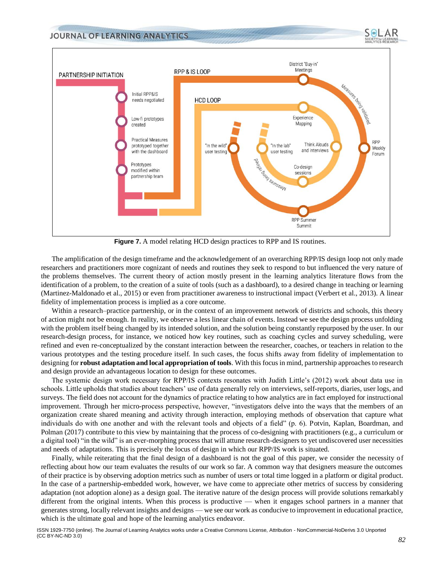

**Figure 7.** A model relating HCD design practices to RPP and IS routines.

The amplification of the design timeframe and the acknowledgement of an overarching RPP/IS design loop not only made researchers and practitioners more cognizant of needs and routines they seek to respond to but influenced the very nature of the problems themselves. The current theory of action mostly present in the learning analytics literature flows from the identification of a problem, to the creation of a suite of tools (such as a dashboard), to a desired change in teaching or learning (Martinez-Maldonado et al., 2015) or even from practitioner awareness to instructional impact (Verbert et al., 2013). A linear fidelity of implementation process is implied as a core outcome.

Within a research–practice partnership, or in the context of an improvement network of districts and schools, this theory of action might not be enough. In reality, we observe a less linear chain of events. Instead we see the design process unfolding with the problem itself being changed by its intended solution, and the solution being constantly repurposed by the user. In our research-design process, for instance, we noticed how key routines, such as coaching cycles and survey scheduling, were refined and even re-conceptualized by the constant interaction between the researcher, coaches, or teachers in relation to the various prototypes and the testing procedure itself. In such cases, the focus shifts away from fidelity of implementation to designing for **robust adaptationand local appropriation of tools**. With this focus in mind, partnership approaches to research and design provide an advantageous location to design for these outcomes.

The systemic design work necessary for RPP/IS contexts resonates with Judith Little's (2012) work about data use in schools. Little upholds that studies about teachers' use of data generally rely on interviews, self-reports, diaries, user logs, and surveys. The field does not account for the dynamics of practice relating to how analytics are in fact employed for instructional improvement. Through her micro-process perspective, however, "investigators delve into the ways that the members of an organization create shared meaning and activity through interaction, employing methods of observation that capture what individuals do with one another and with the relevant tools and objects of a field" (p. 6). Potvin, Kaplan, Boardman, and Polman (2017) contribute to this view by maintaining that the process of co-designing with practitioners (e.g., a curriculum or a digital tool) "in the wild" is an ever-morphing process that will attune research-designers to yet undiscovered user necessities and needs of adaptations. This is precisely the locus of design in which our RPP/IS work is situated.

Finally, while reiterating that the final design of a dashboard is not the goal of this paper, we consider the necessity of reflecting about how our team evaluates the results of our work so far. A common way that designers measure the outcomes of their practice is by observing adoption metrics such as number of users or total time logged in a platform or digital product. In the case of a partnership-embedded work, however, we have come to appreciate other metrics of success by considering adaptation (not adoption alone) as a design goal. The iterative nature of the design process will provide solutions remarkably different from the original intents. When this process is productive — when it engages school partners in a manner that generates strong, locally relevant insights and designs — we see our work as conducive to improvement in educational practice, which is the ultimate goal and hope of the learning analytics endeavor.

SeLAR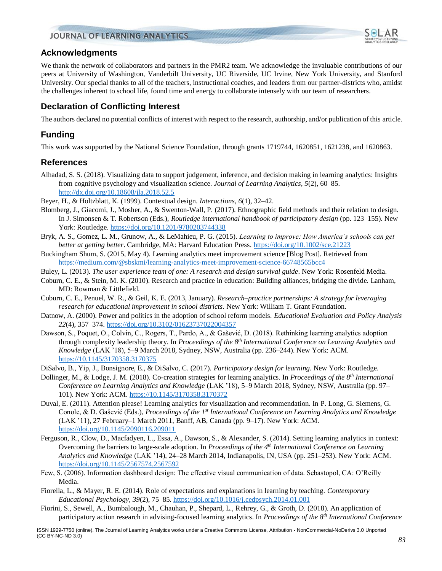

We thank the network of collaborators and partners in the PMR2 team. We acknowledge the invaluable contributions of our peers at University of Washington, Vanderbilt University, UC Riverside, UC Irvine, New York University, and Stanford University. Our special thanks to all of the teachers, instructional coaches, and leaders from our partner-districts who, amidst the challenges inherent to school life, found time and energy to collaborate intensely with our team of researchers.

# **Declaration of Conflicting Interest**

The authors declared no potential conflicts of interest with respect to the research, authorship, and/or publication of this article.

# **Funding**

This work was supported by the National Science Foundation, through grants 1719744, 1620851, 1621238, and 1620863.

## **References**

- Alhadad, S. S. (2018). Visualizing data to support judgement, inference, and decision making in learning analytics: Insights from cognitive psychology and visualization science. *Journal of Learning Analytics, 5*(2), 60–85. <http://dx.doi.org/10.18608/jla.2018.52.5>
- Beyer, H., & Holtzblatt, K. (1999). Contextual design. *Interactions, 6*(1), 32–42.
- Blomberg, J., Giacomi, J., Mosher, A., & Swenton-Wall, P. (2017). Ethnographic field methods and their relation to design. In J. Simonsen & T. Robertson (Eds.), *Routledge international handbook of participatory design* (pp. 123–155). New York: Routledge.<https://doi.org/10.1201/9780203744338>
- Bryk, A. S., Gomez, L. M., Grunow, A., & LeMahieu, P. G. (2015). *Learning to improve: How America's schools can get better at getting better*. Cambridge, MA: Harvard Education Press.<https://doi.org/10.1002/sce.21223>
- Buckingham Shum, S. (2015, May 4). Learning analytics meet improvement science [Blog Post]. Retrieved from <https://medium.com/@sbskmi/learning-analytics-meet-improvement-science-66748565bcc4>
- Buley, L. (2013). *The user experience team of one: A research and design survival guide*. New York: Rosenfeld Media.
- Coburn, C. E., & Stein, M. K. (2010). Research and practice in education: Building alliances, bridging the divide. Lanham, MD: Rowman & Littlefield.
- Coburn, C. E., Penuel, W. R., & Geil, K. E. (2013, January). *Research–practice partnerships: A strategy for leveraging research for educational improvement in school districts.* New York: William T. Grant Foundation.
- Datnow, A. (2000). Power and politics in the adoption of school reform models. *Educational Evaluation and Policy Analysis 22*(4), 357–374. [https://doi.org/10.3102/01623737022004357](https://doi.org/10.3102%2F01623737022004357)
- Dawson, S., Poquet, O., Colvin, C., Rogers, T., Pardo, A., & Gašević, D. (2018). Rethinking learning analytics adoption through complexity leadership theory. In *Proceedings of the 8th International Conference on Learning Analytics and Knowledge* (LAK '18), 5–9 March 2018, Sydney, NSW, Australia (pp. 236–244). New York: ACM. https:/[/10.1145/3170358.3170375](https://doi.org/10.1145/3170358.3170375)
- DiSalvo, B., Yip, J., Bonsignore, E., & DiSalvo, C. (2017). *Participatory design for learning.* New York: Routledge.
- Dollinger, M., & Lodge, J. M. (2018). Co-creation strategies for learning analytics. In *Proceedings of the 8th International Conference on Learning Analytics and Knowledge* (LAK '18), 5–9 March 2018, Sydney, NSW, Australia (pp. 97– 101). New York: ACM. [https://10.1145/3170358.3170372](https://10.0.4.121/3170358.3170372)
- Duval, E. (2011). Attention please! Learning analytics for visualization and recommendation. In P. Long, G. Siemens, G. Conole, & D. Gašević (Eds.), *Proceedings of the 1st International Conference on Learning Analytics and Knowledge* (LAK '11), 27 February–1 March 2011, Banff, AB, Canada (pp. 9–17). New York: ACM. <https://doi.org/10.1145/2090116.209011>
- Ferguson, R., Clow, D., Macfadyen, L., Essa, A., Dawson, S., & Alexander, S. (2014). Setting learning analytics in context: Overcoming the barriers to large-scale adoption. In *Proceedings of the 4 th International Conference on Learning Analytics and Knowledge* (LAK '14), 24–28 March 2014, Indianapolis, IN, USA (pp. 251–253). New York: ACM. <https://doi.org/10.1145/2567574.2567592>
- Few, S. (2006). Information dashboard design: The effective visual communication of data. Sebastopol, CA: O'Reilly Media.
- Fiorella, L., & Mayer, R. E. (2014). Role of expectations and explanations in learning by teaching. *Contemporary Educational Psychology, 39*(2), 75–85.<https://doi.org/10.1016/j.cedpsych.2014.01.001>
- Fiorini, S., Sewell, A., Bumbalough, M., Chauhan, P., Shepard, L., Rehrey, G., & Groth, D. (2018). An application of participatory action research in advising-focused learning analytics. In *Proceedings of the 8th International Conference*

AR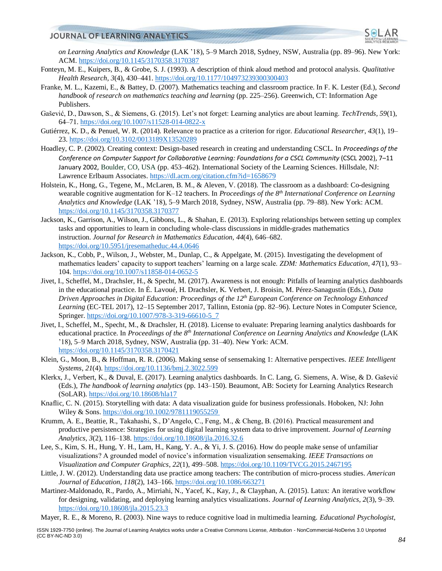

*on Learning Analytics and Knowledge* (LAK '18), 5–9 March 2018, Sydney, NSW, Australia (pp. 89–96). New York: ACM.<https://doi.org/10.1145/3170358.3170387>

- Fonteyn, M. E., Kuipers, B., & Grobe, S. J. (1993). A description of think aloud method and protocol analysis. *Qualitative Health Research*, *3*(4), 430–441. [https://doi.org/10.1177/104973239300300403](https://doi.org/10.1177%2F104973239300300403)
- Franke, M. L., Kazemi, E., & Battey, D. (2007). Mathematics teaching and classroom practice. In F. K. Lester (Ed.), *Second handbook of research on mathematics teaching and learning (pp. 225–256). Greenwich, CT: Information Age* Publishers.
- Gašević, D., Dawson, S., & Siemens, G. (2015). Let's not forget: Learning analytics are about learning. *TechTrends, 59*(1), 64–71.<https://doi.org/10.1007/s11528-014-0822-x>
- Gutiérrez, K. D., & Penuel, W. R. (2014). Relevance to practice as a criterion for rigor. *Educational Researcher*, *43*(1), 19– 23. [https://doi.org/10.3102/0013189X13520289](https://doi.org/10.3102%2F0013189X13520289)
- Hoadley, C. P. (2002). Creating context: Design-based research in creating and understanding CSCL. In *Proceedings of the Conference on Computer Support for Collaborative Learning: Foundations for a CSCL Community* (CSCL 2002), 7–11 January 2002, Boulder, CO, USA (pp. 453–462). International Society of the Learning Sciences. Hillsdale, NJ: Lawrence Erlbaum Associates.<https://dl.acm.org/citation.cfm?id=1658679>
- Holstein, K., Hong, G., Tegene, M., McLaren, B. M., & Aleven, V. (2018). The classroom as a dashboard: Co-designing wearable cognitive augmentation for K–12 teachers. In *Proceedings of the 8th International Conference on Learning Analytics and Knowledge* (LAK '18), 5–9 March 2018, Sydney, NSW, Australia (pp. 79–88). New York: ACM. <https://doi.org/10.1145/3170358.3170377>
- Jackson, K., Garrison, A., Wilson, J., Gibbons, L., & Shahan, E. (2013). Exploring relationships between setting up complex tasks and opportunities to learn in concluding whole-class discussions in middle-grades mathematics instruction. *Journal for Research in Mathematics Education, 44*(4), 646–682. <https://doi.org/10.5951/jresematheduc.44.4.0646>
- Jackson, K., Cobb, P., Wilson, J., Webster, M., Dunlap, C., & Appelgate, M. (2015). Investigating the development of mathematics leaders' capacity to support teachers' learning on a large scale. *ZDM: Mathematics Education*, *47*(1), 93– 104.<https://doi.org/10.1007/s11858-014-0652-5>
- Jivet, I., Scheffel, M., Drachsler, H., & Specht, M. (2017). Awareness is not enough: Pitfalls of learning analytics dashboards in the educational practice. In É. Lavoué, H. Drachsler, K. Verbert, J. Broisin, M. Pérez-Sanagustín (Eds.), *Data Driven Approaches in Digital Education: Proceedings of the 12 th European Conference on Technology Enhanced Learning* (EC-TEL 2017), 12–15 September 2017, Tallinn, Estonia (pp. 82–96). Lecture Notes in Computer Science, Springer. [https://doi.org/10.1007/978-3-319-66610-5\\_7](https://doi.org/10.1007/978-3-319-66610-5_7)
- Jivet, I., Scheffel, M., Specht, M., & Drachsler, H. (2018). License to evaluate: Preparing learning analytics dashboards for educational practice. In *Proceedings of the 8th International Conference on Learning Analytics and Knowledge* (LAK '18), 5–9 March 2018, Sydney, NSW, Australia (pp. 31–40). New York: ACM. <https://doi.org/10.1145/3170358.3170421>
- Klein, G., Moon, B., & Hoffman, R. R. (2006). Making sense of sensemaking 1: Alternative perspectives. *IEEE Intelligent Systems*, *21*(4)[. https://doi.org/10.1136/bmj.2.3022.599](https://doi.org/10.1136/bmj.2.3022.599)
- Klerkx, J., Verbert, K., & Duval, E. (2017). Learning analytics dashboards. In C. Lang, G. Siemens, A. Wise, & D. Gašević (Eds.), *The handbook of learning analytics* (pp. 143–150). Beaumont, AB: Society for Learning Analytics Research (SoLAR).<https://doi.org/10.18608/hla17>
- Knaflic, C. N. (2015). Storytelling with data: A data visualization guide for business professionals. Hoboken, NJ: John Wiley & Sons.<https://doi.org/10.1002/9781119055259>
- Krumm, A. E., Beattie, R., Takahashi, S., D'Angelo, C., Feng, M., & Cheng, B. (2016). Practical measurement and productive persistence: Strategies for using digital learning system data to drive improvement. *Journal of Learning Analytics, 3*(2), 116–138.<https://doi.org/10.18608/jla.2016.32.6>
- Lee, S., Kim, S. H., Hung, Y. H., Lam, H., Kang, Y. A., & Yi, J. S. (2016). How do people make sense of unfamiliar visualizations? A grounded model of novice's information visualization sensemaking. *IEEE Transactions on Visualization and Computer Graphics*, *22*(1), 499–508[. https://doi.org/10.1109/TVCG.2015.2467195](https://doi.org/10.1109/TVCG.2015.2467195)
- Little, J. W. (2012). Understanding data use practice among teachers: The contribution of micro-process studies. *American Journal of Education, 118*(2), 143–166.<https://doi.org/10.1086/663271>
- Martinez-Maldonado, R., Pardo, A., Mirriahi, N., Yacef, K., Kay, J., & Clayphan, A. (2015). Latux: An iterative workflow for designing, validating, and deploying learning analytics visualizations. *Journal of Learning Analytics, 2*(3), 9–39. <https://doi.org/10.18608/jla.2015.23.3>
- Mayer, R. E., & Moreno, R. (2003). Nine ways to reduce cognitive load in multimedia learning. *Educational Psychologist,*